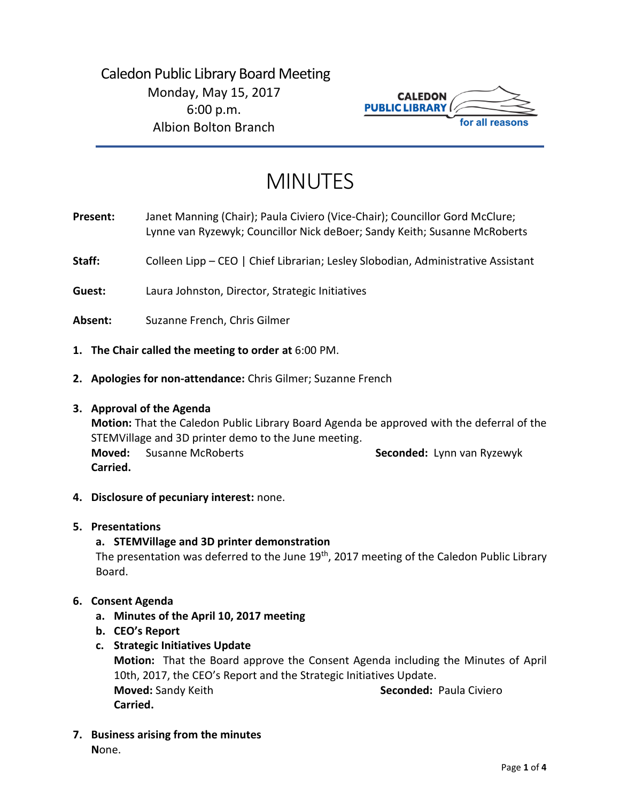# Caledon Public Library Board Meeting Monday, May 15, 2017 6:00 p.m. Albion Bolton Branch



# MINUTES

**Present:** Janet Manning (Chair); Paula Civiero (Vice-Chair); Councillor Gord McClure; Lynne van Ryzewyk; Councillor Nick deBoer; Sandy Keith; Susanne McRoberts

Staff: Colleen Lipp – CEO | Chief Librarian; Lesley Slobodian, Administrative Assistant

**Guest:** Laura Johnston, Director, Strategic Initiatives

**Absent:** Suzanne French, Chris Gilmer

- **1. The Chair called the meeting to order at** 6:00 PM.
- **2. Apologies for non-attendance:** Chris Gilmer; Suzanne French

#### **3. Approval of the Agenda**

**Motion:** That the Caledon Public Library Board Agenda be approved with the deferral of the STEMVillage and 3D printer demo to the June meeting. **Moved:** Susanne McRoberts **Seconded:** Lynn van Ryzewyk **Carried.**

**4. Disclosure of pecuniary interest:** none.

# **5. Presentations**

# **a. STEMVillage and 3D printer demonstration**

The presentation was deferred to the June  $19<sup>th</sup>$ , 2017 meeting of the Caledon Public Library Board.

# **6. Consent Agenda**

- **a. Minutes of the April 10, 2017 meeting**
- **b. CEO's Report**
- **c. Strategic Initiatives Update**

**Motion:** That the Board approve the Consent Agenda including the Minutes of April 10th, 2017, the CEO's Report and the Strategic Initiatives Update. **Moved:** Sandy Keith Seconded: Paula Civiero **Carried.**

**7. Business arising from the minutes N**one.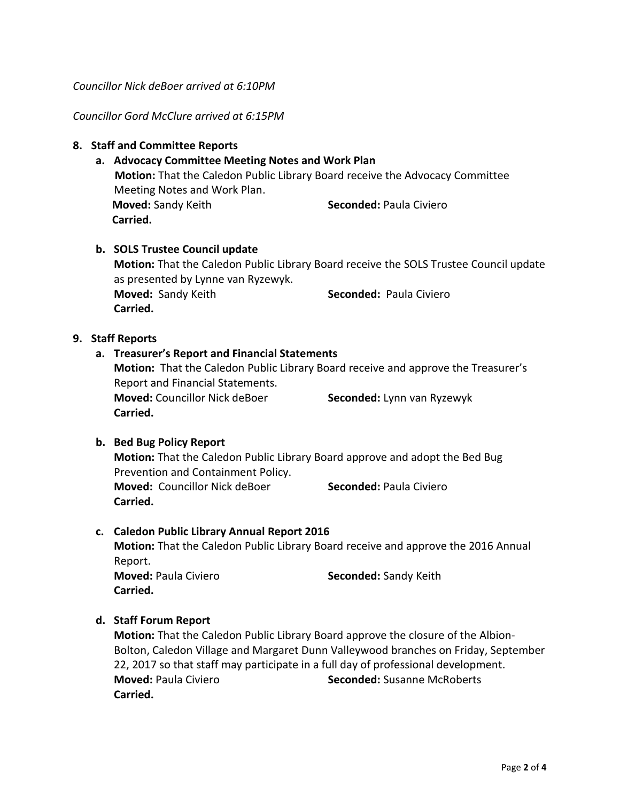*Councillor Nick deBoer arrived at 6:10PM*

*Councillor Gord McClure arrived at 6:15PM*

#### **8. Staff and Committee Reports**

# **a. Advocacy Committee Meeting Notes and Work Plan**

**Motion:** That the Caledon Public Library Board receive the Advocacy Committee Meeting Notes and Work Plan. **Moved:** Sandy Keith **Seconded:** Paula Civiero **Carried.** 

#### **b. SOLS Trustee Council update**

**Motion:** That the Caledon Public Library Board receive the SOLS Trustee Council update as presented by Lynne van Ryzewyk. **Moved:** Sandy Keith **Seconded:** Paula Civiero **Carried.** 

#### **9. Staff Reports**

# **a. Treasurer's Report and Financial Statements**

**Motion:** That the Caledon Public Library Board receive and approve the Treasurer's Report and Financial Statements. **Moved:** Councillor Nick deBoer **Seconded:** Lynn van Ryzewyk **Carried.** 

# **b. Bed Bug Policy Report**

**Motion:** That the Caledon Public Library Board approve and adopt the Bed Bug Prevention and Containment Policy. **Moved:** Councillor Nick deBoer **Seconded:** Paula Civiero **Carried.** 

# **c. Caledon Public Library Annual Report 2016**

**Motion:** That the Caledon Public Library Board receive and approve the 2016 Annual Report.

**Carried.**

**Moved:** Paula Civiero **Seconded:** Sandy Keith

# **d. Staff Forum Report**

**Motion:** That the Caledon Public Library Board approve the closure of the Albion-Bolton, Caledon Village and Margaret Dunn Valleywood branches on Friday, September 22, 2017 so that staff may participate in a full day of professional development. **Moved:** Paula Civiero **Seconded:** Susanne McRoberts **Carried.**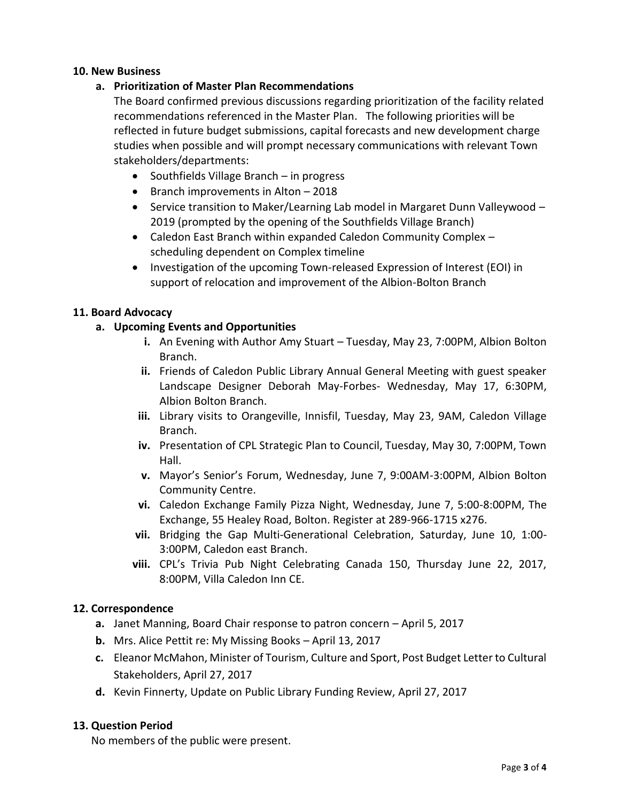#### **10. New Business**

# **a. Prioritization of Master Plan Recommendations**

The Board confirmed previous discussions regarding prioritization of the facility related recommendations referenced in the Master Plan. The following priorities will be reflected in future budget submissions, capital forecasts and new development charge studies when possible and will prompt necessary communications with relevant Town stakeholders/departments:

- Southfields Village Branch in progress
- $\bullet$  Branch improvements in Alton  $-2018$
- Service transition to Maker/Learning Lab model in Margaret Dunn Valleywood 2019 (prompted by the opening of the Southfields Village Branch)
- Caledon East Branch within expanded Caledon Community Complex scheduling dependent on Complex timeline
- Investigation of the upcoming Town-released Expression of Interest (EOI) in support of relocation and improvement of the Albion-Bolton Branch

#### **11. Board Advocacy**

# **a. Upcoming Events and Opportunities**

- **i.** An Evening with Author Amy Stuart Tuesday, May 23, 7:00PM, Albion Bolton Branch.
- **ii.** Friends of Caledon Public Library Annual General Meeting with guest speaker Landscape Designer Deborah May-Forbes- Wednesday, May 17, 6:30PM, Albion Bolton Branch.
- **iii.** Library visits to Orangeville, Innisfil, Tuesday, May 23, 9AM, Caledon Village Branch.
- **iv.** Presentation of CPL Strategic Plan to Council, Tuesday, May 30, 7:00PM, Town Hall.
- **v.** Mayor's Senior's Forum, Wednesday, June 7, 9:00AM-3:00PM, Albion Bolton Community Centre.
- **vi.** Caledon Exchange Family Pizza Night, Wednesday, June 7, 5:00-8:00PM, The Exchange, 55 Healey Road, Bolton. Register at 289-966-1715 x276.
- **vii.** Bridging the Gap Multi-Generational Celebration, Saturday, June 10, 1:00- 3:00PM, Caledon east Branch.
- **viii.** CPL's Trivia Pub Night Celebrating Canada 150, Thursday June 22, 2017, 8:00PM, Villa Caledon Inn CE.

#### **12. Correspondence**

- **a.** Janet Manning, Board Chair response to patron concern April 5, 2017
- **b.** Mrs. Alice Pettit re: My Missing Books April 13, 2017
- **c.** Eleanor McMahon, Minister of Tourism, Culture and Sport, Post Budget Letter to Cultural Stakeholders, April 27, 2017
- **d.** Kevin Finnerty, Update on Public Library Funding Review, April 27, 2017

# **13. Question Period**

No members of the public were present.